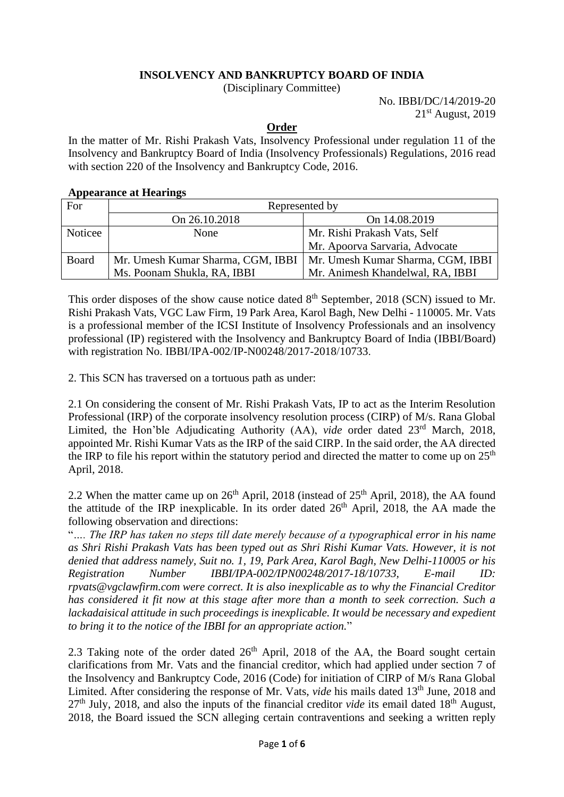## **INSOLVENCY AND BANKRUPTCY BOARD OF INDIA**

(Disciplinary Committee)

No. IBBI/DC/14/2019-20 21 st August, 2019

## **Order**

In the matter of Mr. Rishi Prakash Vats, Insolvency Professional under regulation 11 of the Insolvency and Bankruptcy Board of India (Insolvency Professionals) Regulations, 2016 read with section 220 of the Insolvency and Bankruptcy Code, 2016.

## **Appearance at Hearings**

| For     | Represented by                    |                                   |
|---------|-----------------------------------|-----------------------------------|
|         | On 26.10.2018                     | On 14.08.2019                     |
| Noticee | None                              | Mr. Rishi Prakash Vats, Self      |
|         |                                   | Mr. Apoorva Sarvaria, Advocate    |
| Board   | Mr. Umesh Kumar Sharma, CGM, IBBI | Mr. Umesh Kumar Sharma, CGM, IBBI |
|         | Ms. Poonam Shukla, RA, IBBI       | Mr. Animesh Khandelwal, RA, IBBI  |

This order disposes of the show cause notice dated 8<sup>th</sup> September, 2018 (SCN) issued to Mr. Rishi Prakash Vats, VGC Law Firm, 19 Park Area, Karol Bagh, New Delhi - 110005. Mr. Vats is a professional member of the ICSI Institute of Insolvency Professionals and an insolvency professional (IP) registered with the Insolvency and Bankruptcy Board of India (IBBI/Board) with registration No. IBBI/IPA-002/IP-N00248/2017-2018/10733.

2. This SCN has traversed on a tortuous path as under:

2.1 On considering the consent of Mr. Rishi Prakash Vats, IP to act as the Interim Resolution Professional (IRP) of the corporate insolvency resolution process (CIRP) of M/s. Rana Global Limited, the Hon'ble Adjudicating Authority (AA), *vide* order dated 23<sup>rd</sup> March, 2018, appointed Mr. Rishi Kumar Vats as the IRP of the said CIRP. In the said order, the AA directed the IRP to file his report within the statutory period and directed the matter to come up on  $25<sup>th</sup>$ April, 2018.

2.2 When the matter came up on  $26<sup>th</sup>$  April, 2018 (instead of  $25<sup>th</sup>$  April, 2018), the AA found the attitude of the IRP inexplicable. In its order dated  $26<sup>th</sup>$  April, 2018, the AA made the following observation and directions:

"*…. The IRP has taken no steps till date merely because of a typographical error in his name as Shri Rishi Prakash Vats has been typed out as Shri Rishi Kumar Vats. However, it is not denied that address namely, Suit no. 1, 19, Park Area, Karol Bagh, New Delhi-110005 or his Registration Number IBBI/IPA-002/IPN00248/2017-18/10733, E-mail ID: rpvats@vgclawfirm.com were correct. It is also inexplicable as to why the Financial Creditor has considered it fit now at this stage after more than a month to seek correction. Such a lackadaisical attitude in such proceedings is inexplicable. It would be necessary and expedient to bring it to the notice of the IBBI for an appropriate action.*"

2.3 Taking note of the order dated  $26<sup>th</sup>$  April, 2018 of the AA, the Board sought certain clarifications from Mr. Vats and the financial creditor, which had applied under section 7 of the Insolvency and Bankruptcy Code, 2016 (Code) for initiation of CIRP of M/s Rana Global Limited. After considering the response of Mr. Vats, *vide* his mails dated 13<sup>th</sup> June, 2018 and 27th July, 2018, and also the inputs of the financial creditor *vide* its email dated 18th August, 2018, the Board issued the SCN alleging certain contraventions and seeking a written reply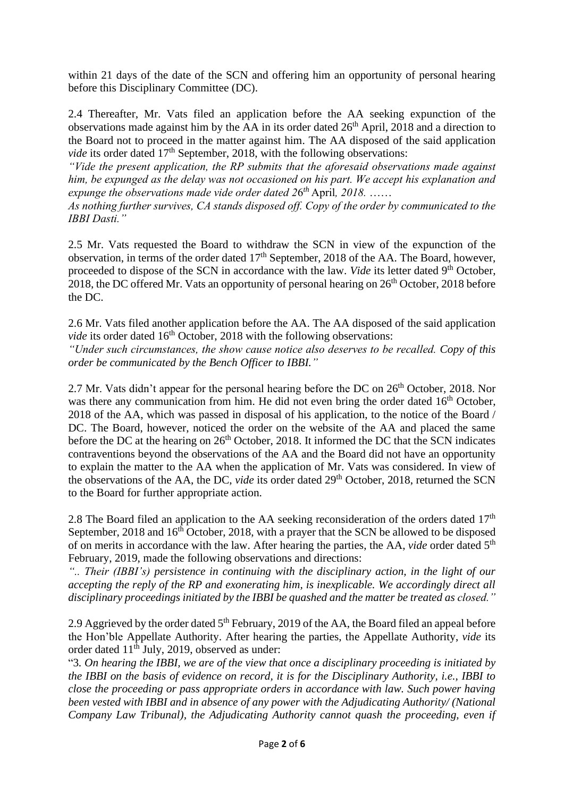within 21 days of the date of the SCN and offering him an opportunity of personal hearing before this Disciplinary Committee (DC).

2.4 Thereafter, Mr. Vats filed an application before the AA seeking expunction of the observations made against him by the AA in its order dated 26<sup>th</sup> April, 2018 and a direction to the Board not to proceed in the matter against him. The AA disposed of the said application *vide* its order dated 17<sup>th</sup> September, 2018, with the following observations:

*"Vide the present application, the RP submits that the aforesaid observations made against him, be expunged as the delay was not occasioned on his part. We accept his explanation and expunge the observations made vide order dated 2*6 *th* April*, 2018.* ……

*As nothing further survives, CA stands disposed off. Copy of the order by communicated to the IBBI Dasti."*

2.5 Mr. Vats requested the Board to withdraw the SCN in view of the expunction of the observation, in terms of the order dated  $17<sup>th</sup>$  September, 2018 of the AA. The Board, however, proceeded to dispose of the SCN in accordance with the law. *Vide* its letter dated 9<sup>th</sup> October, 2018, the DC offered Mr. Vats an opportunity of personal hearing on  $26<sup>th</sup>$  October, 2018 before the DC.

2.6 Mr. Vats filed another application before the AA. The AA disposed of the said application vide its order dated 16<sup>th</sup> October, 2018 with the following observations:

*"Under such circumstances, the show cause notice also deserves to be recalled. Copy of this order be communicated by the Bench Officer to IBBI."*

2.7 Mr. Vats didn't appear for the personal hearing before the DC on  $26<sup>th</sup>$  October, 2018. Nor was there any communication from him. He did not even bring the order dated 16<sup>th</sup> October, 2018 of the AA, which was passed in disposal of his application, to the notice of the Board / DC. The Board, however, noticed the order on the website of the AA and placed the same before the DC at the hearing on  $26<sup>th</sup>$  October, 2018. It informed the DC that the SCN indicates contraventions beyond the observations of the AA and the Board did not have an opportunity to explain the matter to the AA when the application of Mr. Vats was considered. In view of the observations of the AA, the DC, *vide* its order dated 29th October, 2018, returned the SCN to the Board for further appropriate action.

2.8 The Board filed an application to the AA seeking reconsideration of the orders dated  $17<sup>th</sup>$ September, 2018 and 16<sup>th</sup> October, 2018, with a prayer that the SCN be allowed to be disposed of on merits in accordance with the law. After hearing the parties, the AA, *vide* order dated 5<sup>th</sup> February, 2019, made the following observations and directions:

*".. Their (IBBI's) persistence in continuing with the disciplinary action, in the light of our accepting the reply of the RP and exonerating him, is inexplicable. We accordingly direct all disciplinary proceedings initiated by the IBBI be quashed and the matter be treated as closed."* 

2.9 Aggrieved by the order dated 5<sup>th</sup> February, 2019 of the AA, the Board filed an appeal before the Hon'ble Appellate Authority. After hearing the parties, the Appellate Authority, *vide* its order dated  $11<sup>th</sup>$  July, 2019, observed as under:

"3*. On hearing the IBBI, we are of the view that once a disciplinary proceeding is initiated by the IBBI on the basis of evidence on record, it is for the Disciplinary Authority, i.e., IBBI to close the proceeding or pass appropriate orders in accordance with law. Such power having been vested with IBBI and in absence of any power with the Adjudicating Authority/ (National Company Law Tribunal), the Adjudicating Authority cannot quash the proceeding, even if*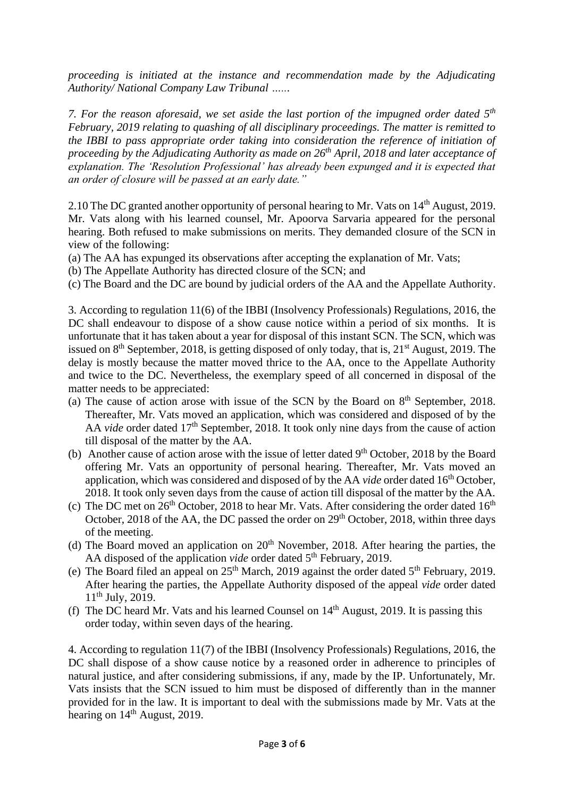*proceeding is initiated at the instance and recommendation made by the Adjudicating Authority/ National Company Law Tribunal …...*

*7. For the reason aforesaid, we set aside the last portion of the impugned order dated 5th February, 2019 relating to quashing of all disciplinary proceedings. The matter is remitted to the IBBI to pass appropriate order taking into consideration the reference of initiation of proceeding by the Adjudicating Authority as made on 26th April, 2018 and later acceptance of explanation. The 'Resolution Professional' has already been expunged and it is expected that an order of closure will be passed at an early date."*

2.10 The DC granted another opportunity of personal hearing to Mr. Vats on 14<sup>th</sup> August, 2019. Mr. Vats along with his learned counsel, Mr. Apoorva Sarvaria appeared for the personal hearing. Both refused to make submissions on merits. They demanded closure of the SCN in view of the following:

- (a) The AA has expunged its observations after accepting the explanation of Mr. Vats;
- (b) The Appellate Authority has directed closure of the SCN; and
- (c) The Board and the DC are bound by judicial orders of the AA and the Appellate Authority.

3. According to regulation 11(6) of the IBBI (Insolvency Professionals) Regulations, 2016, the DC shall endeavour to dispose of a show cause notice within a period of six months. It is unfortunate that it has taken about a year for disposal of this instant SCN. The SCN, which was issued on  $8<sup>th</sup>$  September, 2018, is getting disposed of only today, that is,  $21<sup>st</sup>$  August, 2019. The delay is mostly because the matter moved thrice to the AA, once to the Appellate Authority and twice to the DC. Nevertheless, the exemplary speed of all concerned in disposal of the matter needs to be appreciated:

- (a) The cause of action arose with issue of the SCN by the Board on  $8<sup>th</sup>$  September, 2018. Thereafter, Mr. Vats moved an application, which was considered and disposed of by the AA *vide* order dated 17<sup>th</sup> September, 2018. It took only nine days from the cause of action till disposal of the matter by the AA.
- (b) Another cause of action arose with the issue of letter dated 9<sup>th</sup> October, 2018 by the Board offering Mr. Vats an opportunity of personal hearing. Thereafter, Mr. Vats moved an application, which was considered and disposed of by the AA *vide* order dated 16<sup>th</sup> October, 2018. It took only seven days from the cause of action till disposal of the matter by the AA.
- (c) The DC met on  $26<sup>th</sup>$  October, 2018 to hear Mr. Vats. After considering the order dated  $16<sup>th</sup>$ October, 2018 of the AA, the DC passed the order on  $29<sup>th</sup>$  October, 2018, within three days of the meeting.
- (d) The Board moved an application on  $20<sup>th</sup>$  November, 2018. After hearing the parties, the AA disposed of the application *vide* order dated 5th February, 2019.
- (e) The Board filed an appeal on  $25<sup>th</sup>$  March, 2019 against the order dated  $5<sup>th</sup>$  February, 2019. After hearing the parties, the Appellate Authority disposed of the appeal *vide* order dated  $11<sup>th</sup>$  July, 2019.
- (f) The DC heard Mr. Vats and his learned Counsel on  $14<sup>th</sup>$  August, 2019. It is passing this order today, within seven days of the hearing.

4. According to regulation 11(7) of the IBBI (Insolvency Professionals) Regulations, 2016, the DC shall dispose of a show cause notice by a reasoned order in adherence to principles of natural justice, and after considering submissions, if any, made by the IP. Unfortunately, Mr. Vats insists that the SCN issued to him must be disposed of differently than in the manner provided for in the law. It is important to deal with the submissions made by Mr. Vats at the hearing on  $14<sup>th</sup>$  August, 2019.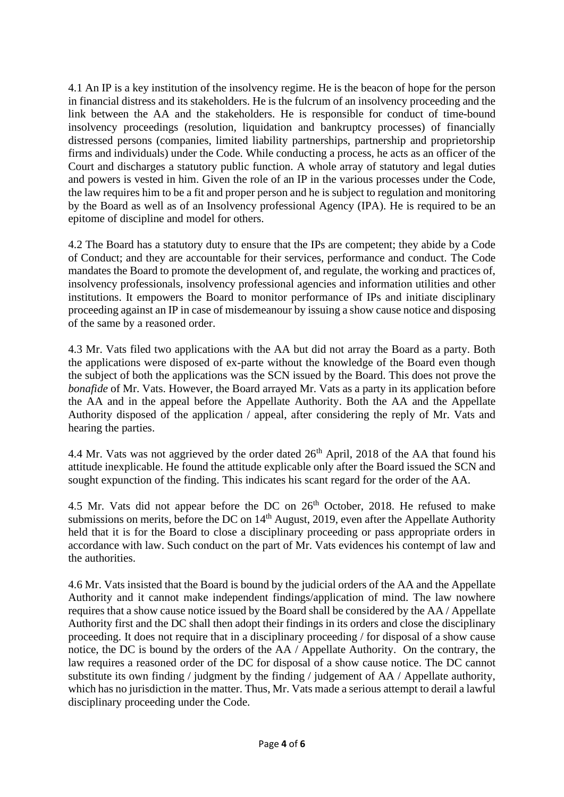4.1 An IP is a key institution of the insolvency regime. He is the beacon of hope for the person in financial distress and its stakeholders. He is the fulcrum of an insolvency proceeding and the link between the AA and the stakeholders. He is responsible for conduct of time-bound insolvency proceedings (resolution, liquidation and bankruptcy processes) of financially distressed persons (companies, limited liability partnerships, partnership and proprietorship firms and individuals) under the Code. While conducting a process, he acts as an officer of the Court and discharges a statutory public function. A whole array of statutory and legal duties and powers is vested in him. Given the role of an IP in the various processes under the Code, the law requires him to be a fit and proper person and he is subject to regulation and monitoring by the Board as well as of an Insolvency professional Agency (IPA). He is required to be an epitome of discipline and model for others.

4.2 The Board has a statutory duty to ensure that the IPs are competent; they abide by a Code of Conduct; and they are accountable for their services, performance and conduct. The Code mandates the Board to promote the development of, and regulate, the working and practices of, insolvency professionals, insolvency professional agencies and information utilities and other institutions. It empowers the Board to monitor performance of IPs and initiate disciplinary proceeding against an IP in case of misdemeanour by issuing a show cause notice and disposing of the same by a reasoned order.

4.3 Mr. Vats filed two applications with the AA but did not array the Board as a party. Both the applications were disposed of ex-parte without the knowledge of the Board even though the subject of both the applications was the SCN issued by the Board. This does not prove the *bonafide* of Mr. Vats. However, the Board arrayed Mr. Vats as a party in its application before the AA and in the appeal before the Appellate Authority. Both the AA and the Appellate Authority disposed of the application / appeal, after considering the reply of Mr. Vats and hearing the parties.

4.4 Mr. Vats was not aggrieved by the order dated  $26<sup>th</sup>$  April, 2018 of the AA that found his attitude inexplicable. He found the attitude explicable only after the Board issued the SCN and sought expunction of the finding. This indicates his scant regard for the order of the AA.

4.5 Mr. Vats did not appear before the DC on  $26<sup>th</sup>$  October, 2018. He refused to make submissions on merits, before the DC on  $14<sup>th</sup>$  August, 2019, even after the Appellate Authority held that it is for the Board to close a disciplinary proceeding or pass appropriate orders in accordance with law. Such conduct on the part of Mr. Vats evidences his contempt of law and the authorities.

4.6 Mr. Vats insisted that the Board is bound by the judicial orders of the AA and the Appellate Authority and it cannot make independent findings/application of mind. The law nowhere requires that a show cause notice issued by the Board shall be considered by the AA / Appellate Authority first and the DC shall then adopt their findings in its orders and close the disciplinary proceeding. It does not require that in a disciplinary proceeding / for disposal of a show cause notice, the DC is bound by the orders of the AA / Appellate Authority. On the contrary, the law requires a reasoned order of the DC for disposal of a show cause notice. The DC cannot substitute its own finding / judgment by the finding / judgement of AA / Appellate authority, which has no jurisdiction in the matter. Thus, Mr. Vats made a serious attempt to derail a lawful disciplinary proceeding under the Code.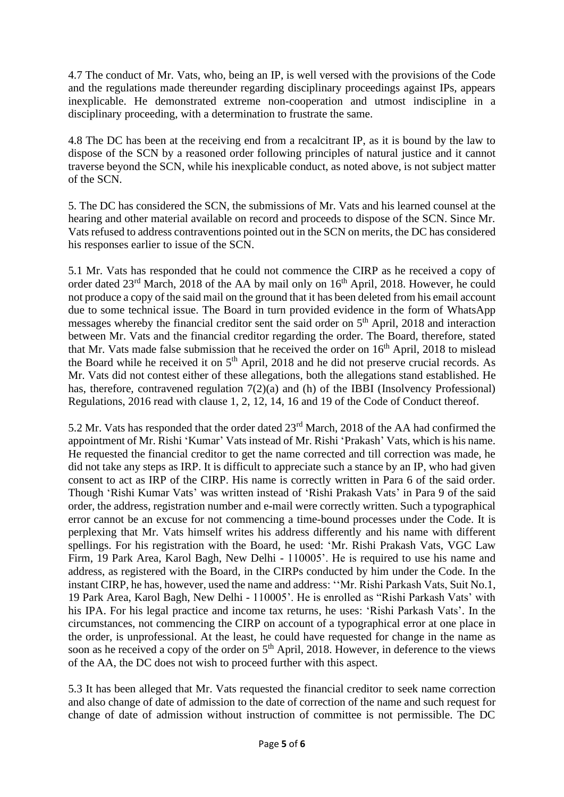4.7 The conduct of Mr. Vats, who, being an IP, is well versed with the provisions of the Code and the regulations made thereunder regarding disciplinary proceedings against IPs, appears inexplicable. He demonstrated extreme non-cooperation and utmost indiscipline in a disciplinary proceeding, with a determination to frustrate the same.

4.8 The DC has been at the receiving end from a recalcitrant IP, as it is bound by the law to dispose of the SCN by a reasoned order following principles of natural justice and it cannot traverse beyond the SCN, while his inexplicable conduct, as noted above, is not subject matter of the SCN.

5. The DC has considered the SCN, the submissions of Mr. Vats and his learned counsel at the hearing and other material available on record and proceeds to dispose of the SCN. Since Mr. Vats refused to address contraventions pointed out in the SCN on merits, the DC has considered his responses earlier to issue of the SCN.

5.1 Mr. Vats has responded that he could not commence the CIRP as he received a copy of order dated 23<sup>rd</sup> March, 2018 of the AA by mail only on 16<sup>th</sup> April, 2018. However, he could not produce a copy of the said mail on the ground that it has been deleted from his email account due to some technical issue. The Board in turn provided evidence in the form of WhatsApp messages whereby the financial creditor sent the said order on 5<sup>th</sup> April, 2018 and interaction between Mr. Vats and the financial creditor regarding the order. The Board, therefore, stated that Mr. Vats made false submission that he received the order on  $16<sup>th</sup>$  April, 2018 to mislead the Board while he received it on  $5<sup>th</sup>$  April, 2018 and he did not preserve crucial records. As Mr. Vats did not contest either of these allegations, both the allegations stand established. He has, therefore, contravened regulation  $7(2)(a)$  and (h) of the IBBI (Insolvency Professional) Regulations, 2016 read with clause 1, 2, 12, 14, 16 and 19 of the Code of Conduct thereof.

5.2 Mr. Vats has responded that the order dated 23rd March, 2018 of the AA had confirmed the appointment of Mr. Rishi 'Kumar' Vats instead of Mr. Rishi 'Prakash' Vats, which is his name. He requested the financial creditor to get the name corrected and till correction was made, he did not take any steps as IRP. It is difficult to appreciate such a stance by an IP, who had given consent to act as IRP of the CIRP. His name is correctly written in Para 6 of the said order. Though 'Rishi Kumar Vats' was written instead of 'Rishi Prakash Vats' in Para 9 of the said order, the address, registration number and e-mail were correctly written. Such a typographical error cannot be an excuse for not commencing a time-bound processes under the Code. It is perplexing that Mr. Vats himself writes his address differently and his name with different spellings. For his registration with the Board, he used: 'Mr. Rishi Prakash Vats, VGC Law Firm, 19 Park Area, Karol Bagh, New Delhi - 110005'. He is required to use his name and address, as registered with the Board, in the CIRPs conducted by him under the Code. In the instant CIRP, he has, however, used the name and address: ''Mr. Rishi Parkash Vats, Suit No.1, 19 Park Area, Karol Bagh, New Delhi - 110005'. He is enrolled as "Rishi Parkash Vats' with his IPA. For his legal practice and income tax returns, he uses: 'Rishi Parkash Vats'. In the circumstances, not commencing the CIRP on account of a typographical error at one place in the order, is unprofessional. At the least, he could have requested for change in the name as soon as he received a copy of the order on 5<sup>th</sup> April, 2018. However, in deference to the views of the AA, the DC does not wish to proceed further with this aspect.

5.3 It has been alleged that Mr. Vats requested the financial creditor to seek name correction and also change of date of admission to the date of correction of the name and such request for change of date of admission without instruction of committee is not permissible. The DC